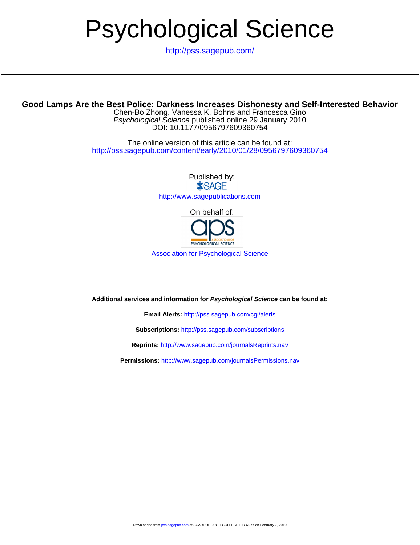# Psychological Science

<http://pss.sagepub.com/>

# **Good Lamps Are the Best Police: Darkness Increases Dishonesty and Self-Interested Behavior**

DOI: 10.1177/0956797609360754 Psychological Science published online 29 January 2010 Chen-Bo Zhong, Vanessa K. Bohns and Francesca Gino

<http://pss.sagepub.com/content/early/2010/01/28/0956797609360754> The online version of this article can be found at:

> Published by: **SSAGE** <http://www.sagepublications.com>

> > On behalf of:



[Association for Psychological Science](http://www.psychologicalscience.org/)

**Additional services and information for Psychological Science can be found at:**

**Email Alerts:** <http://pss.sagepub.com/cgi/alerts>

**Subscriptions:** <http://pss.sagepub.com/subscriptions>

**Reprints:** <http://www.sagepub.com/journalsReprints.nav>

**Permissions:** <http://www.sagepub.com/journalsPermissions.nav>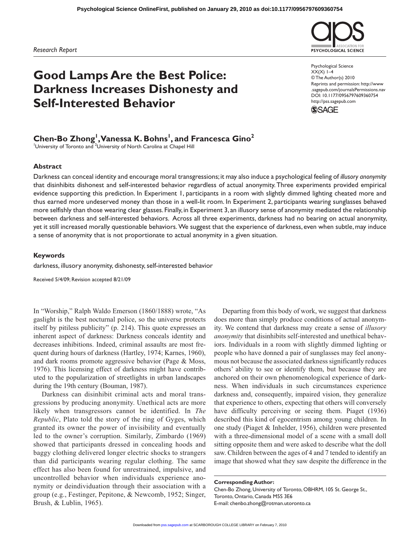*Research Report*

# **Good Lamps Are the Best Police: Darkness Increases Dishonesty and Self-Interested Behavior**

Psychological Science  $XX(X)$  1–4 © The Author(s) 2010 Reprints and permission: http://www .sagepub.com/journalsPermissions.nav DOI: 10.1177/0956797609360754 http://pss.sagepub.com

**PSYCHOLOGICAL SCIENCE** 



# Chen-Bo Zhong<sup>1</sup>, Vanessa K. Bohns<sup>1</sup>, and Francesca Gino<sup>2</sup>

<sup>1</sup>University of Toronto and <sup>2</sup>University of North Carolina at Chapel Hill

#### **Abstract**

Darkness can conceal identity and encourage moral transgressions; it may also induce a psychological feeling of *illusory anonymity* that disinhibits dishonest and self-interested behavior regardless of actual anonymity. Three experiments provided empirical evidence supporting this prediction. In Experiment 1, participants in a room with slightly dimmed lighting cheated more and thus earned more undeserved money than those in a well-lit room. In Experiment 2, participants wearing sunglasses behaved more selfishly than those wearing clear glasses. Finally, in Experiment 3, an illusory sense of anonymity mediated the relationship between darkness and self-interested behaviors. Across all three experiments, darkness had no bearing on actual anonymity, yet it still increased morally questionable behaviors. We suggest that the experience of darkness, even when subtle, may induce a sense of anonymity that is not proportionate to actual anonymity in a given situation.

#### **Keywords**

darkness, illusory anonymity, dishonesty, self-interested behavior

Received 5/4/09; Revision accepted 8/21/09

In "Worship," Ralph Waldo Emerson (1860/1888) wrote, "As gaslight is the best nocturnal police, so the universe protects itself by pitiless publicity" (p. 214). This quote expresses an inherent aspect of darkness: Darkness conceals identity and decreases inhibitions. Indeed, criminal assaults are most frequent during hours of darkness (Hartley, 1974; Karnes, 1960), and dark rooms promote aggressive behavior (Page & Moss, 1976). This licensing effect of darkness might have contributed to the popularization of streetlights in urban landscapes during the 19th century (Bouman, 1987).

Darkness can disinhibit criminal acts and moral transgressions by producing anonymity. Unethical acts are more likely when transgressors cannot be identified. In *The Republic*, Plato told the story of the ring of Gyges, which granted its owner the power of invisibility and eventually led to the owner's corruption. Similarly, Zimbardo (1969) showed that participants dressed in concealing hoods and baggy clothing delivered longer electric shocks to strangers than did participants wearing regular clothing. The same effect has also been found for unrestrained, impulsive, and uncontrolled behavior when individuals experience anonymity or deindividuation through their association with a group (e.g., Festinger, Pepitone, & Newcomb, 1952; Singer, Brush, & Lublin, 1965).

Departing from this body of work, we suggest that darkness does more than simply produce conditions of actual anonymity. We contend that darkness may create a sense of *illusory anonymity* that disinhibits self-interested and unethical behaviors. Individuals in a room with slightly dimmed lighting or people who have donned a pair of sunglasses may feel anonymous not because the associated darkness significantly reduces others' ability to see or identify them, but because they are anchored on their own phenomenological experience of darkness. When individuals in such circumstances experience darkness and, consequently, impaired vision, they generalize that experience to others, expecting that others will conversely have difficulty perceiving or seeing them. Piaget (1936) described this kind of egocentrism among young children. In one study (Piaget & Inhelder, 1956), children were presented with a three-dimensional model of a scene with a small doll sitting opposite them and were asked to describe what the doll saw. Children between the ages of 4 and 7 tended to identify an image that showed what they saw despite the difference in the

**Corresponding Author:** Chen-Bo Zhong, University of Toronto, OBHRM, 105 St. George St., Toronto, Ontario, Canada M5S 3E6 E-mail: chenbo.zhong@rotman.utoronto.ca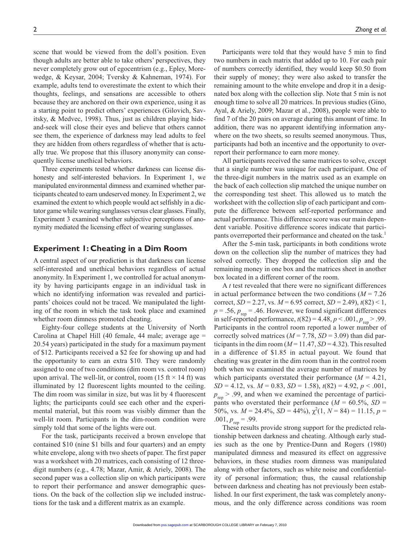scene that would be viewed from the doll's position. Even though adults are better able to take others' perspectives, they never completely grow out of egocentrism (e.g., Epley, Morewedge, & Keysar, 2004; Tversky & Kahneman, 1974). For example, adults tend to overestimate the extent to which their thoughts, feelings, and sensations are accessible to others because they are anchored on their own experience, using it as a starting point to predict others' experiences (Gilovich, Savitsky, & Medvec, 1998). Thus, just as children playing hideand-seek will close their eyes and believe that others cannot see them, the experience of darkness may lead adults to feel they are hidden from others regardless of whether that is actually true. We propose that this illusory anonymity can consequently license unethical behaviors.

Three experiments tested whether darkness can license dishonesty and self-interested behaviors. In Experiment 1, we manipulated environmental dimness and examined whether participants cheated to earn undeserved money. In Experiment 2, we examined the extent to which people would act selfishly in a dictator game while wearing sunglasses versus clear glasses. Finally, Experiment 3 examined whether subjective perceptions of anonymity mediated the licensing effect of wearing sunglasses.

## **Experiment 1: Cheating in a Dim Room**

A central aspect of our prediction is that darkness can license self-interested and unethical behaviors regardless of actual anonymity. In Experiment 1, we controlled for actual anonymity by having participants engage in an individual task in which no identifying information was revealed and participants' choices could not be traced. We manipulated the lighting of the room in which the task took place and examined whether room dimness promoted cheating.

Eighty-four college students at the University of North Carolina at Chapel Hill (40 female, 44 male; average age = 20.54 years) participated in the study for a maximum payment of \$12. Participants received a \$2 fee for showing up and had the opportunity to earn an extra \$10. They were randomly assigned to one of two conditions (dim room vs. control room) upon arrival. The well-lit, or control, room (15 ft  $\times$  14 ft) was illuminated by 12 fluorescent lights mounted to the ceiling. The dim room was similar in size, but was lit by 4 fluorescent lights; the participants could see each other and the experimental material, but this room was visibly dimmer than the well-lit room. Participants in the dim-room condition were simply told that some of the lights were out.

For the task, participants received a brown envelope that contained \$10 (nine \$1 bills and four quarters) and an empty white envelope, along with two sheets of paper. The first paper was a worksheet with 20 matrices, each consisting of 12 threedigit numbers (e.g., 4.78; Mazar, Amir, & Ariely, 2008). The second paper was a collection slip on which participants were to report their performance and answer demographic questions. On the back of the collection slip we included instructions for the task and a different matrix as an example.

Participants were told that they would have 5 min to find two numbers in each matrix that added up to 10. For each pair of numbers correctly identified, they would keep \$0.50 from their supply of money; they were also asked to transfer the remaining amount to the white envelope and drop it in a designated box along with the collection slip. Note that 5 min is not enough time to solve all 20 matrices. In previous studies (Gino, Ayal, & Ariely, 2009; Mazar et al., 2008), people were able to find 7 of the 20 pairs on average during this amount of time. In addition, there was no apparent identifying information anywhere on the two sheets, so results seemed anonymous. Thus, participants had both an incentive and the opportunity to overreport their performance to earn more money.

All participants received the same matrices to solve, except that a single number was unique for each participant. One of the three-digit numbers in the matrix used as an example on the back of each collection slip matched the unique number on the corresponding test sheet. This allowed us to match the worksheet with the collection slip of each participant and compute the difference between self-reported performance and actual performance. This difference score was our main dependent variable. Positive difference scores indicate that participants overreported their performance and cheated on the task.<sup>1</sup>

After the 5-min task, participants in both conditions wrote down on the collection slip the number of matrices they had solved correctly. They dropped the collection slip and the remaining money in one box and the matrices sheet in another box located in a different corner of the room.

A *t* test revealed that there were no significant differences in actual performance between the two conditions  $(M = 7.26)$ correct,  $SD = 2.27$ , vs.  $M = 6.95$  correct,  $SD = 2.49$ ),  $t(82) < 1$ ,  $p = .56$ ,  $p_{\text{rep}} = .46$ . However, we found significant differences in self-reported performance,  $t(82) = 4.48$ ,  $p < .001$ ,  $p_{\text{ren}} > .99$ . Participants in the control room reported a lower number of correctly solved matrices ( $M = 7.78$ ,  $SD = 3.09$ ) than did participants in the dim room  $(M=11.47, SD=4.32)$ . This resulted in a difference of \$1.85 in actual payout. We found that cheating was greater in the dim room than in the control room both when we examined the average number of matrices by which participants overstated their performance  $(M = 4.21)$ ,  $SD = 4.12$ , vs.  $M = 0.83$ ,  $SD = 1.58$ ),  $t(82) = 4.92$ ,  $p < .001$ ,  $p_{\text{ren}} > .99$ , and when we examined the percentage of participants who overstated their performance ( $M = 60.5\%$ , *SD* = 50%, vs.  $M = 24.4\%$ ,  $SD = 44\%$ ),  $\chi^2(1, N = 84) = 11.15$ ,  $p =$  $.001, p_{\text{rep}} = .99.$ 

These results provide strong support for the predicted relationship between darkness and cheating. Although early studies such as the one by Prentice-Dunn and Rogers (1980) manipulated dimness and measured its effect on aggressive behaviors, in these studies room dimness was manipulated along with other factors, such as white noise and confidentiality of personal information; thus, the causal relationship between darkness and cheating has not previously been established. In our first experiment, the task was completely anonymous, and the only difference across conditions was room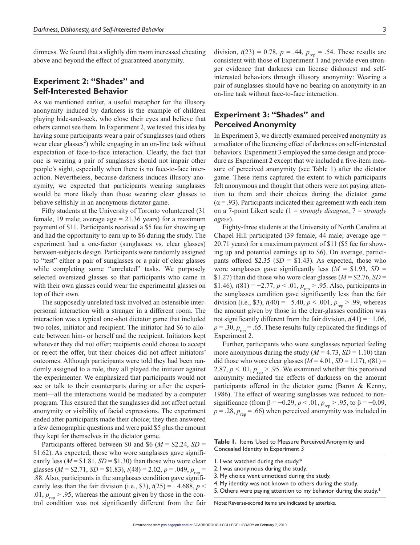dimness. We found that a slightly dim room increased cheating above and beyond the effect of guaranteed anonymity.

# **Experiment 2: "Shades" and Self-Interested Behavior**

As we mentioned earlier, a useful metaphor for the illusory anonymity induced by darkness is the example of children playing hide-and-seek, who close their eyes and believe that others cannot see them. In Experiment 2, we tested this idea by having some participants wear a pair of sunglasses (and others wear clear glasses<sup>2</sup>) while engaging in an on-line task without expectation of face-to-face interaction. Clearly, the fact that one is wearing a pair of sunglasses should not impair other people's sight, especially when there is no face-to-face interaction. Nevertheless, because darkness induces illusory anonymity, we expected that participants wearing sunglasses would be more likely than those wearing clear glasses to behave selfishly in an anonymous dictator game.

Fifty students at the University of Toronto volunteered (31 female, 19 male; average age  $= 21.36$  years) for a maximum payment of \$11. Participants received a \$5 fee for showing up and had the opportunity to earn up to \$6 during the study. The experiment had a one-factor (sunglasses vs. clear glasses) between-subjects design. Participants were randomly assigned to "test" either a pair of sunglasses or a pair of clear glasses while completing some "unrelated" tasks. We purposely selected oversized glasses so that participants who came in with their own glasses could wear the experimental glasses on top of their own.

The supposedly unrelated task involved an ostensible interpersonal interaction with a stranger in a different room. The interaction was a typical one-shot dictator game that included two roles, initiator and recipient. The initiator had \$6 to allocate between him- or herself and the recipient. Initiators kept whatever they did not offer; recipients could choose to accept or reject the offer, but their choices did not affect initiators' outcomes. Although participants were told they had been randomly assigned to a role, they all played the initiator against the experimenter. We emphasized that participants would not see or talk to their counterparts during or after the experiment—all the interactions would be mediated by a computer program. This ensured that the sunglasses did not affect actual anonymity or visibility of facial expressions. The experiment ended after participants made their choice; they then answered a few demographic questions and were paid \$5 plus the amount they kept for themselves in the dictator game.

Participants offered between \$0 and \$6 (*M* = \$2.24, *SD* = \$1.62). As expected, those who wore sunglasses gave significantly less  $(M = $1.81, SD = $1.30)$  than those who wore clear glasses ( $M = $2.71$ ,  $SD = $1.83$ ),  $t(48) = 2.02$ ,  $p = .049$ ,  $p_{\text{ren}} =$ .88. Also, participants in the sunglasses condition gave significantly less than the fair division (i.e., \$3),  $t(25) = -4.688$ ,  $p <$ .01,  $p_{\text{ren}}$  > .95, whereas the amount given by those in the control condition was not significantly different from the fair division,  $t(23) = 0.78$ ,  $p = .44$ ,  $p_{rep} = .54$ . These results are consistent with those of Experiment 1 and provide even stronger evidence that darkness can license dishonest and selfinterested behaviors through illusory anonymity: Wearing a pair of sunglasses should have no bearing on anonymity in an on-line task without face-to-face interaction.

# **Experiment 3: "Shades" and Perceived Anonymity**

In Experiment 3, we directly examined perceived anonymity as a mediator of the licensing effect of darkness on self-interested behaviors. Experiment 3 employed the same design and procedure as Experiment 2 except that we included a five-item measure of perceived anonymity (see Table 1) after the dictator game. These items captured the extent to which participants felt anonymous and thought that others were not paying attention to them and their choices during the dictator game  $(\alpha = .93)$ . Participants indicated their agreement with each item on a 7-point Likert scale (1 = *strongly disagree*, 7 = *strongly agree*).

Eighty-three students at the University of North Carolina at Chapel Hill participated (39 female, 44 male; average age = 20.71 years) for a maximum payment of \$11 (\$5 fee for showing up and potential earnings up to \$6). On average, participants offered \$2.35 ( $SD = $1.43$ ). As expected, those who wore sunglasses gave significantly less  $(M = $1.93, SD =$ \$1.27) than did those who wore clear glasses ( $M = $2.76$ ,  $SD =$ \$1.46),  $t(81) = -2.77$ ,  $p < .01$ ,  $p_{rep} > .95$ . Also, participants in the sunglasses condition gave significantly less than the fair division (i.e., \$3),  $t(40) = -5.40, p < .001, p_{\text{ren}} > .99$ , whereas the amount given by those in the clear-glasses condition was not significantly different from the fair division,  $t(41) = -1.06$ ,  $p = .30$ ,  $p_{\text{ren}} = .65$ . These results fully replicated the findings of Experiment 2.

Further, participants who wore sunglasses reported feeling more anonymous during the study  $(M = 4.73, SD = 1.10)$  than did those who wore clear glasses  $(M = 4.01, SD = 1.17)$ ,  $t(81) =$ 2.87,  $p < 0.01$ ,  $p_{\text{ren}} > 0.95$ . We examined whether this perceived anonymity mediated the effects of darkness on the amount participants offered in the dictator game (Baron & Kenny, 1986). The effect of wearing sunglasses was reduced to nonsignificance (from  $\beta = -0.29, p < .01, p_{\text{rep}} > .95$ , to  $\beta = -0.09$ ,  $p = 0.28$ ,  $p_{\text{ren}} = 0.66$ ) when perceived anonymity was included in

**Table 1.** Items Used to Measure Perceived Anonymity and Concealed Identity in Experiment 3

1. I was watched during the study.\*

4. My identity was not known to others during the study.

5. Others were paying attention to my behavior during the study.\*

Note: Reverse-scored items are indicated by asterisks.

<sup>2.</sup> I was anonymous during the study.

<sup>3.</sup> My choice went unnoticed during the study.